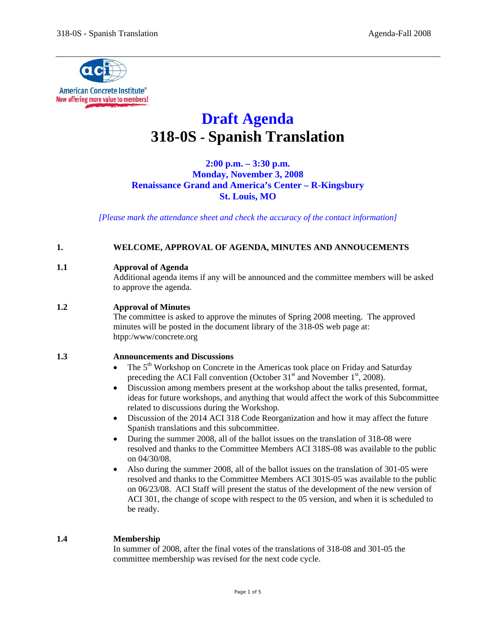

# **Draft Agenda 318-0S - Spanish Translation**

**2:00 p.m. – 3:30 p.m. Monday, November 3, 2008 Renaissance Grand and America's Center – R-Kingsbury St. Louis, MO**

*[Please mark the attendance sheet and check the accuracy of the contact information]* 

### **1. WELCOME, APPROVAL OF AGENDA, MINUTES AND ANNOUCEMENTS**

#### **1.1 Approval of Agenda**

Additional agenda items if any will be announced and the committee members will be asked to approve the agenda.

### **1.2 Approval of Minutes**

The committee is asked to approve the minutes of Spring 2008 meeting. The approved minutes will be posted in the document library of the 318-0S web page at: htpp:/www/concrete.org

#### **1.3 Announcements and Discussions**

- The  $5<sup>th</sup>$  Workshop on Concrete in the Americas took place on Friday and Saturday preceding the ACI Fall convention (October  $31<sup>st</sup>$  and November  $1<sup>st</sup>$ , 2008).
- Discussion among members present at the workshop about the talks presented, format, ideas for future workshops, and anything that would affect the work of this Subcommittee related to discussions during the Workshop.
- Discussion of the 2014 ACI 318 Code Reorganization and how it may affect the future Spanish translations and this subcommittee.
- During the summer 2008, all of the ballot issues on the translation of 318-08 were resolved and thanks to the Committee Members ACI 318S-08 was available to the public on 04/30/08.
- Also during the summer 2008, all of the ballot issues on the translation of 301-05 were resolved and thanks to the Committee Members ACI 301S-05 was available to the public on 06/23/08. ACI Staff will present the status of the development of the new version of ACI 301, the change of scope with respect to the 05 version, and when it is scheduled to be ready.

### **1.4 Membership**

In summer of 2008, after the final votes of the translations of 318-08 and 301-05 the committee membership was revised for the next code cycle.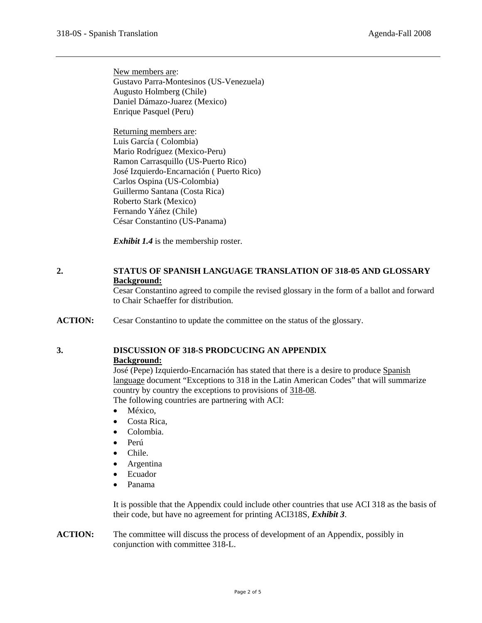New members are: Gustavo Parra-Montesinos (US-Venezuela) Augusto Holmberg (Chile) Daniel Dámazo-Juarez (Mexico) Enrique Pasquel (Peru)

Returning members are: Luis García ( Colombia) Mario Rodríguez (Mexico-Peru) Ramon Carrasquillo (US-Puerto Rico) José Izquierdo-Encarnación ( Puerto Rico) Carlos Ospina (US-Colombia) Guillermo Santana (Costa Rica) Roberto Stark (Mexico) Fernando Yáñez (Chile) César Constantino (US-Panama)

*Exhibit 1.4* is the membership roster.

### **2. STATUS OF SPANISH LANGUAGE TRANSLATION OF 318-05 AND GLOSSARY Background:**

Cesar Constantino agreed to compile the revised glossary in the form of a ballot and forward to Chair Schaeffer for distribution.

**ACTION:** Cesar Constantino to update the committee on the status of the glossary.

## **3. DISCUSSION OF 318-S PRODCUCING AN APPENDIX**

### **Background:**

José (Pepe) Izquierdo-Encarnación has stated that there is a desire to produce Spanish language document "Exceptions to 318 in the Latin American Codes" that will summarize country by country the exceptions to provisions of 318-08.

The following countries are partnering with ACI:

- México,
- Costa Rica,
- Colombia.
- Perú
- Chile.
- Argentina
- Ecuador
- Panama

It is possible that the Appendix could include other countries that use ACI 318 as the basis of their code, but have no agreement for printing ACI318S, *Exhibit 3*.

**ACTION:** The committee will discuss the process of development of an Appendix, possibly in conjunction with committee 318-L.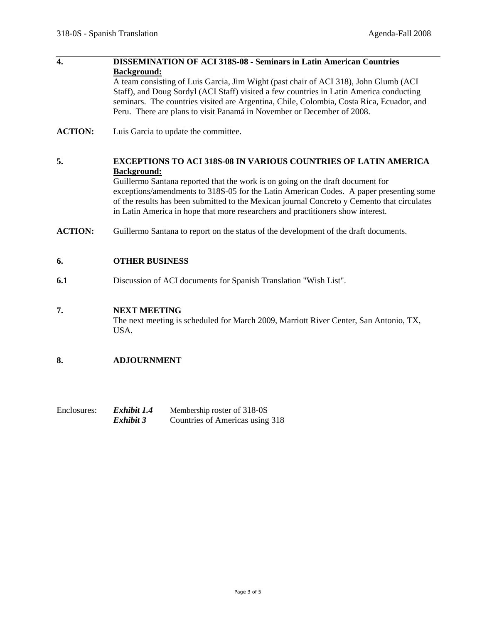| $\overline{4}$ | <b>DISSEMINATION OF ACI 318S-08 - Seminars in Latin American Countries</b><br><b>Background:</b><br>A team consisting of Luis Garcia, Jim Wight (past chair of ACI 318), John Glumb (ACI<br>Staff), and Doug Sordyl (ACI Staff) visited a few countries in Latin America conducting<br>seminars. The countries visited are Argentina, Chile, Colombia, Costa Rica, Ecuador, and<br>Peru. There are plans to visit Panamá in November or December of 2008. |
|----------------|-----------------------------------------------------------------------------------------------------------------------------------------------------------------------------------------------------------------------------------------------------------------------------------------------------------------------------------------------------------------------------------------------------------------------------------------------------------|
| <b>ACTION:</b> | Luis Garcia to update the committee.                                                                                                                                                                                                                                                                                                                                                                                                                      |
| 5.             | EXCEPTIONS TO ACI 318S-08 IN VARIOUS COUNTRIES OF LATIN AMERICA<br><b>Background:</b><br>Guillermo Santana reported that the work is on going on the draft document for<br>exceptions/amendments to 318S-05 for the Latin American Codes. A paper presenting some<br>of the results has been submitted to the Mexican journal Concreto y Cemento that circulates<br>in Latin America in hope that more researchers and practitioners show interest.       |
| <b>ACTION:</b> | Guillermo Santana to report on the status of the development of the draft documents.                                                                                                                                                                                                                                                                                                                                                                      |

### **6. OTHER BUSINESS**

**6.1** Discussion of ACI documents for Spanish Translation "Wish List".

### **7. NEXT MEETING**

The next meeting is scheduled for March 2009, Marriott River Center, San Antonio, TX, USA.

### **8. ADJOURNMENT**

| Enclosures: | Exhibit 1.4 | Membership roster of 318-0S     |
|-------------|-------------|---------------------------------|
|             | Exhibit 3   | Countries of Americas using 318 |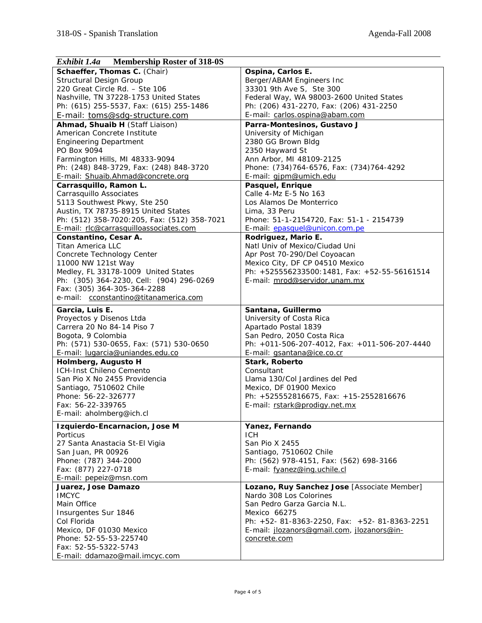| <b>Membership Roster of 318-0S</b><br>Exhibit 1.4a |                                                              |  |  |
|----------------------------------------------------|--------------------------------------------------------------|--|--|
| Schaeffer, Thomas C. (Chair)                       | Ospina, Carlos E.                                            |  |  |
| <b>Structural Design Group</b>                     | Berger/ABAM Engineers Inc                                    |  |  |
| 220 Great Circle Rd. - Ste 106                     | 33301 9th Ave S, Ste 300                                     |  |  |
| Nashville, TN 37228-1753 United States             | Federal Way, WA 98003-2600 United States                     |  |  |
| Ph: (615) 255-5537, Fax: (615) 255-1486            | Ph: (206) 431-2270, Fax: (206) 431-2250                      |  |  |
| E-mail: toms@sdg-structure.com                     | E-mail: carlos.ospina@abam.com                               |  |  |
| Ahmad, Shuaib H (Staff Liaison)                    | Parra-Montesinos, Gustavo J                                  |  |  |
| American Concrete Institute                        | University of Michigan                                       |  |  |
| <b>Engineering Department</b>                      | 2380 GG Brown Bldg                                           |  |  |
| PO Box 9094                                        | 2350 Hayward St                                              |  |  |
| Farmington Hills, MI 48333-9094                    | Ann Arbor, MI 48109-2125                                     |  |  |
| Ph: (248) 848-3729, Fax: (248) 848-3720            | Phone: (734) 764-6576, Fax: (734) 764-4292                   |  |  |
| E-mail: Shuaib.Ahmad@concrete.org                  | E-mail: gjpm@umich.edu                                       |  |  |
| Carrasquillo, Ramon L.                             | Pasquel, Enrique                                             |  |  |
| Carrasquillo Associates                            | Calle 4-Mz E-5 No 163                                        |  |  |
| 5113 Southwest Pkwy, Ste 250                       | Los Alamos De Monterrico                                     |  |  |
| Austin, TX 78735-8915 United States                | Lima, 33 Peru                                                |  |  |
| Ph: (512) 358-7020:205, Fax: (512) 358-7021        | Phone: 51-1-2154720, Fax: 51-1 - 2154739                     |  |  |
| E-mail: rlc@carrasquilloassociates.com             | E-mail: epasquel@unicon.com.pe                               |  |  |
| Constantino, Cesar A.                              | Rodriguez, Mario E.                                          |  |  |
| Titan America LLC                                  | Natl Univ of Mexico/Ciudad Uni                               |  |  |
| Concrete Technology Center                         | Apr Post 70-290/Del Coyoacan                                 |  |  |
| 11000 NW 121st Way                                 | Mexico City, DF CP 04510 Mexico                              |  |  |
| Medley, FL 33178-1009 United States                | Ph: +525556233500:1481, Fax: +52-55-56161514                 |  |  |
| Ph: (305) 364-2230, Cell: (904) 296-0269           | E-mail: mrod@servidor.unam.mx                                |  |  |
| Fax: (305) 364-305-364-2288                        |                                                              |  |  |
| e-mail: cconstantino@titanamerica.com              |                                                              |  |  |
|                                                    |                                                              |  |  |
| Garcia, Luis E.                                    | Santana, Guillermo                                           |  |  |
| Proyectos y Disenos Ltda                           | University of Costa Rica                                     |  |  |
| Carrera 20 No 84-14 Piso 7                         | Apartado Postal 1839                                         |  |  |
| Bogota, 9 Colombia                                 | San Pedro, 2050 Costa Rica                                   |  |  |
| Ph: (571) 530-0655, Fax: (571) 530-0650            | Ph: +011-506-207-4012, Fax: +011-506-207-4440                |  |  |
| E-mail: lugarcia@uniandes.edu.co                   | E-mail: gsantana@ice.co.cr                                   |  |  |
| Holmberg, Augusto H                                | Stark, Roberto                                               |  |  |
| ICH-Inst Chileno Cemento                           | Consultant                                                   |  |  |
| San Pio X No 2455 Providencia                      | Llama 130/Col Jardines del Ped                               |  |  |
| Santiago, 7510602 Chile                            | Mexico, DF 01900 Mexico                                      |  |  |
| Phone: 56-22-326777                                | Ph: +525552816675, Fax: +15-2552816676                       |  |  |
| Fax: 56-22-339765                                  | E-mail: rstark@prodigy.net.mx                                |  |  |
| E-mail: aholmberg@ich.cl                           |                                                              |  |  |
| Izquierdo-Encarnacion, Jose M                      | Yanez, Fernando                                              |  |  |
| Porticus                                           | <b>ICH</b>                                                   |  |  |
| 27 Santa Anastacia St-El Vigia                     | San Pio X 2455                                               |  |  |
| San Juan, PR 00926                                 | Santiago, 7510602 Chile                                      |  |  |
| Phone: (787) 344-2000                              | Ph: (562) 978-4151, Fax: (562) 698-3166                      |  |  |
| Fax: (877) 227-0718                                | E-mail: fyanez@ing.uchile.cl                                 |  |  |
| E-mail: pepeiz@msn.com                             |                                                              |  |  |
| Juarez, Jose Damazo                                | Lozano, Ruy Sanchez Jose [Associate Member]                  |  |  |
| <b>IMCYC</b>                                       | Nardo 308 Los Colorines                                      |  |  |
| Main Office                                        | San Pedro Garza Garcia N.L.                                  |  |  |
| Insurgentes Sur 1846                               | Mexico 66275                                                 |  |  |
| Col Florida                                        | Ph: $+52 - 81 - 8363 - 2250$ , Fax: $+52 - 81 - 8363 - 2251$ |  |  |
| Mexico, DF 01030 Mexico                            | E-mail: jlozanors@gmail.com, jlozanors@in-                   |  |  |
| Phone: 52-55-53-225740                             | concrete.com                                                 |  |  |
| Fax: 52-55-5322-5743                               |                                                              |  |  |
| E-mail: ddamazo@mail.imcyc.com                     |                                                              |  |  |
|                                                    |                                                              |  |  |